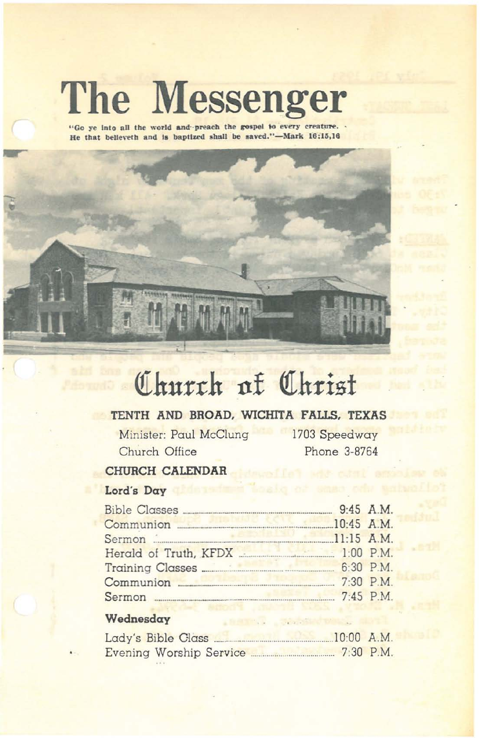# **The Messenger**

"Go ye into all the world and preach the gospel to every creature. He that believeth and is baptized shall be saved."-Mark 16:15,16



## Church af Christ

#### TENTH AND BROAD, WICHITA FALLS, TEXAS

Minister: Paul McClung Church Office

1703 Speedway Phone 3-8764

J .eve

#### CHURCH CALENDAR

#### Lord's Day

| Communion 2016 10:45 A.M. |  |
|---------------------------|--|
| Sermon 11:15 A.M.         |  |
|                           |  |
|                           |  |
|                           |  |
| Sermon 2:45 P.M.          |  |
|                           |  |

#### Wednesday

| Lady's Bible Class      | $10:00$ A.M. |             |
|-------------------------|--------------|-------------|
| Evening Worship Service |              | $7:30$ P.M. |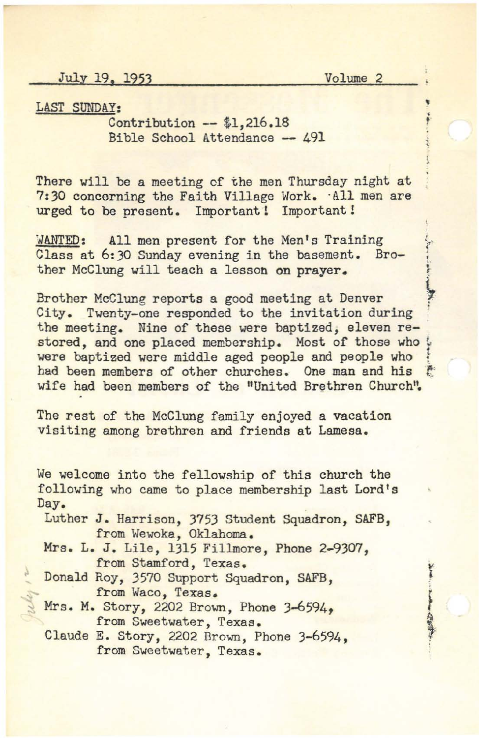July 19. 1953 Volume 2

• • f

· 中国 高原語

LAST SUNDAY:

Contribution -- \$1,216.18 Bible School Attendance -- 491

There will be a meeting of the men Thursday night at 7:30 concerning the Faith Village Work. -All men are urged to be present. Important! Important!

WANTED: All men present for the Men's Training<br>Class at 6:30 Sunday evening in the basement. Bro-<br>ther McClung will teach a lesson on prayer. Class at 6:30 Sunday evening in the basement. Brother McClung will teach a lesson on prayer.

Brother McClung reports a good meeting at Denver City. Twenty-one responded to the invitation during the meeting. Nine of these were baptized, eleven restored, and one placed membership. Most of those who ! were baptized were middle aged people and people who had been members of other churches. One man and his wife had been members of the "United Brethren Church".

The rest of the McClung family enjoyed a vacation Visiting among brethren and friends at Lamesa.

We welcome into the fellowship of this church the following who came to place membership last Lord's Day.

Luther J. Harrison, 3753 Student Squadron, SAFB, from Wewoka, Oklahoma.

Mrs. L. J. Lile, 1315 Fillmore, Phone 2-9307, from Stamford, Texas.

- Donald Roy, 3570 Support Squadron, SAFB, from Waco, Texas.
- Mrs. M. Story, 2202 Brown, Phone 3-6594. from Sweetwater, Texas.

Claude E. Story, 2202 Brown, Phone 3-6594, from Sweetwater, Texas.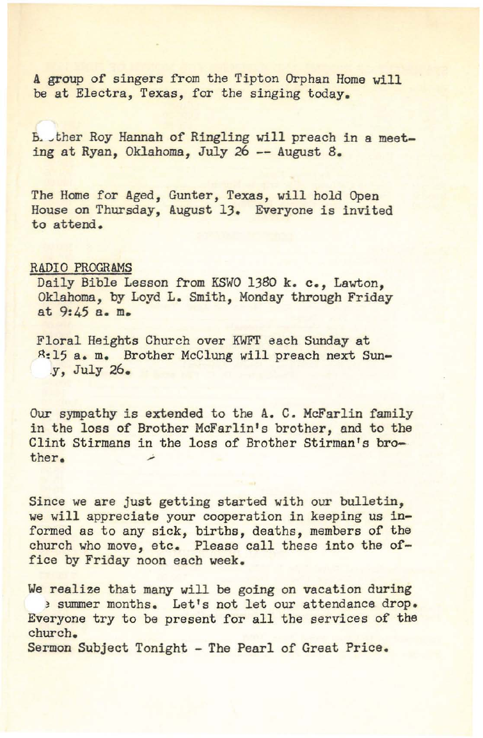A group of singers from the Tipton Orphan Home will be at Electra, Texas, for the singing today.

B. ther Roy Hannah of Ringling will preach in a meeting at Ryan, Oklahoma, July 26 -- August 8.

The Home for Aged, Gunter, Texas, will hold Open House on Thursday, August 13. Everyone is invited to attend.

#### RADIO PROGRAMS

Daily Bible Lesson from KSWO 1380 k. c., Lawton, Oklahoma, by Loyd L. Smith, Monday through Friday at 9:45 a. m.

Floral Heights Church over KWFT each Sunday at ~:15 a. m. Brother McClung will preach next Sun- .y, July 26.

Our sympathy is extended to the A. C. McFarlin family in the loss of Brother McFarlin's brother, and to the Clint Stirmans in the loss of Brother Stirman's bro**ther.**

Since we are just getting started with our bulletin, we will appreciate your cooperation in keeping us informed as to any sick, births, deaths, members of the church who move, etc. Please call these into the office by Friday noon each week.

We realize that many will be going on vacation during ) summer months. Let's not let our attendance drop. Everyone try to be present for all the services of the church.

Sermon Subject Tonight - The Pearl of Great Price.